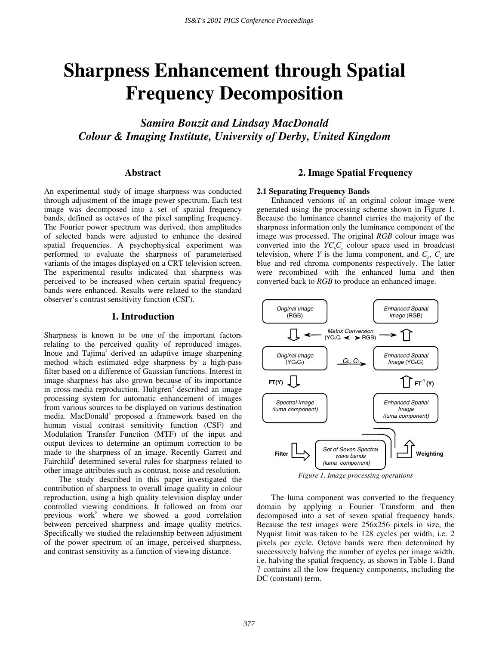# **Sharpness Enhancement through Spatial Frequency Decomposition**

*Samira Bouzit and Lindsay MacDonald Colour & Imaging Institute, University of Derby, United Kingdom*

# **Abstract**

An experimental study of image sharpness was conducted through adjustment of the image power spectrum. Each test image was decomposed into a set of spatial frequency bands, defined as octaves of the pixel sampling frequency. The Fourier power spectrum was derived, then amplitudes of selected bands were adjusted to enhance the desired spatial frequencies. A psychophysical experiment was performed to evaluate the sharpness of parameterised variants of the images displayed on a CRT television screen. The experimental results indicated that sharpness was perceived to be increased when certain spatial frequency bands were enhanced. Results were related to the standard observer's contrast sensitivity function (CSF).

## **1. Introduction**

Sharpness is known to be one of the important factors relating to the perceived quality of reproduced images. Inoue and Tajima<sup>1</sup> derived an adaptive image sharpening method which estimated edge sharpness by a high-pass filter based on a difference of Gaussian functions. Interest in image sharpness has also grown because of its importance in cross-media reproduction. Hultgren<sup>2</sup> described an image processing system for automatic enhancement of images from various sources to be displayed on various destination media. MacDonald<sup>3</sup> proposed a framework based on the human visual contrast sensitivity function (CSF) and Modulation Transfer Function (MTF) of the input and output devices to determine an optimum correction to be made to the sharpness of an image. Recently Garrett and Fairchild<sup>4</sup> determined several rules for sharpness related to other image attributes such as contrast, noise and resolution.

The study described in this paper investigated the contribution of sharpness to overall image quality in colour reproduction, using a high quality television display under controlled viewing conditions. It followed on from our previous work<sup>5</sup> where we showed a good correlation between perceived sharpness and image quality metrics. Specifically we studied the relationship between adjustment of the power spectrum of an image, perceived sharpness, and contrast sensitivity as a function of viewing distance.

# **2. Image Spatial Frequency**

#### **2.1 Separating Frequency Bands**

Enhanced versions of an original colour image were generated using the processing scheme shown in Figure 1. Because the luminance channel carries the majority of the sharpness information only the luminance component of the image was processed. The original *RGB* colour image was converted into the  $YC<sub>b</sub>C<sub>r</sub>$  colour space used in broadcast television, where *Y* is the luma component, and  $C_b$ ,  $C_r$  are blue and red chroma components respectively. The latter were recombined with the enhanced luma and then converted back to *RGB* to produce an enhanced image.



*Figure 1. Image processing operations*

The luma component was converted to the frequency domain by applying a Fourier Transform and then decomposed into a set of seven spatial frequency bands. Because the test images were 256x256 pixels in size, the Nyquist limit was taken to be 128 cycles per width, i.e. 2 pixels per cycle. Octave bands were then determined by successively halving the number of cycles per image width, i.e. halving the spatial frequency, as shown in Table 1. Band 7 contains all the low frequency components, including the DC (constant) term.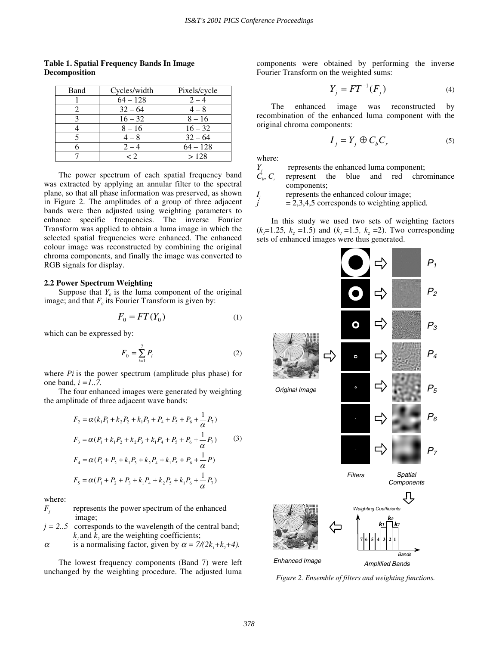| Band | Cycles/width | Pixels/cycle |  |  |
|------|--------------|--------------|--|--|
|      | $64 - 128$   | $2 - 4$      |  |  |
|      | $32 - 64$    | $4 - 8$      |  |  |
|      | $16 - 32$    | $8 - 16$     |  |  |
|      | $8 - 16$     | $16 - 32$    |  |  |
|      | $4-8$        | $32 - 64$    |  |  |
|      | $2 - 4$      | $64 - 128$   |  |  |
|      | < 2          | >128         |  |  |

**Table 1. Spatial Frequency Bands In Image Decomposition**

The power spectrum of each spatial frequency band was extracted by applying an annular filter to the spectral plane, so that all phase information was preserved, as shown in Figure 2. The amplitudes of a group of three adjacent bands were then adjusted using weighting parameters to enhance specific frequencies. The inverse Fourier Transform was applied to obtain a luma image in which the selected spatial frequencies were enhanced. The enhanced colour image was reconstructed by combining the original chroma components, and finally the image was converted to RGB signals for display.

#### **2.2 Power Spectrum Weighting**

Suppose that  $Y_0$  is the luma component of the original image; and that  $F_0$  its Fourier Transform is given by:

$$
F_0 = FT(Y_0) \tag{1}
$$

which can be expressed by:

$$
F_0 = \sum_{i=1}^{7} P_i \tag{2}
$$

where *Pi* is the power spectrum (amplitude plus phase) for one band, *i =1..7.*

The four enhanced images were generated by weighting the amplitude of three adjacent wave bands:

$$
F_2 = \alpha (k_1 P_1 + k_2 P_2 + k_1 P_3 + P_4 + P_5 + P_6 + \frac{1}{\alpha} P_7)
$$
  
\n
$$
F_3 = \alpha (P_1 + k_1 P_2 + k_2 P_3 + k_1 P_4 + P_5 + P_6 + \frac{1}{\alpha} P_7)
$$
(3)  
\n
$$
F_4 = \alpha (P_1 + P_2 + k_1 P_3 + k_2 P_4 + k_1 P_5 + P_6 + \frac{1}{\alpha} P_7)
$$
  
\n
$$
F_5 = \alpha (P_1 + P_2 + P_3 + k_1 P_4 + k_2 P_5 + k_1 P_6 + \frac{1}{\alpha} P_7)
$$

where:

*F<sub>i</sub>* represents the power spectrum of the enhanced image;

- $j = 2..5$  corresponds to the wavelength of the central band;  $k_1$  and  $k_2$  are the weighting coefficients;
- $\alpha$  is a normalising factor, given by  $\alpha = \frac{7}{2k_1+k_2+4}$ .

The lowest frequency components (Band 7) were left unchanged by the weighting procedure. The adjusted luma components were obtained by performing the inverse Fourier Transform on the weighted sums:

$$
Y_j = FT^{-1}(F_j)
$$
 (4)

The enhanced image was reconstructed by recombination of the enhanced luma component with the original chroma components:

$$
I_j = Y_j \oplus C_b C_r \tag{5}
$$

where:<br> $Y_j$ <br> $C_i$ ,  $C_r$ 

represents the enhanced luma component;

represent the blue and red chrominance components;

*I<sub>i</sub>* represents the enhanced colour image;

 $= 2,3,4,5$  corresponds to weighting applied.

In this study we used two sets of weighting factors  $(k<sub>1</sub>=1.25, k<sub>2</sub>=1.5)$  and  $(k<sub>1</sub>=1.5, k<sub>2</sub>=2)$ . Two corresponding sets of enhanced images were thus generated.



*Figure 2. Ensemble of filters and weighting functions.*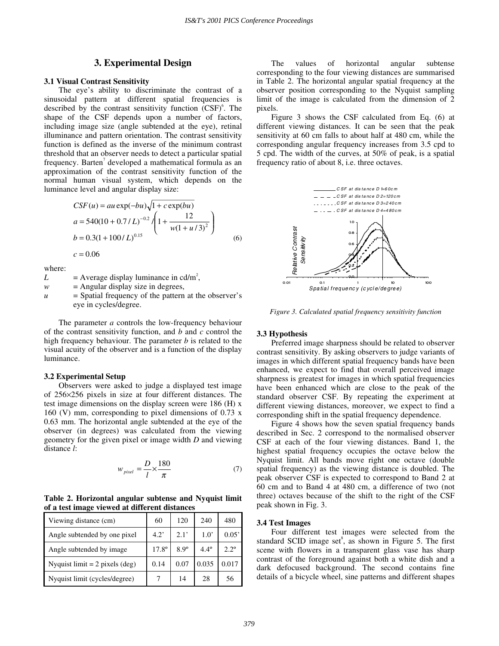# **3. Experimental Design**

#### **3.1 Visual Contrast Sensitivity**

The eye's ability to discriminate the contrast of a sinusoidal pattern at different spatial frequencies is described by the contrast sensitivity function  $(CSF)^6$ . The shape of the CSF depends upon a number of factors, including image size (angle subtended at the eye), retinal illuminance and pattern orientation. The contrast sensitivity function is defined as the inverse of the minimum contrast threshold that an observer needs to detect a particular spatial frequency. Barten<sup>7</sup> developed a mathematical formula as an approximation of the contrast sensitivity function of the normal human visual system, which depends on the luminance level and angular display size:

$$
CSF(u) = au \exp(-bu)\sqrt{1 + c \exp(bu)}
$$
  
\n
$$
a = 540(10 + 0.7/L)^{-0.2} / \left(1 + \frac{12}{w(1 + u/3)^2}\right)
$$
  
\n
$$
b = 0.3(1 + 100/L)^{0.15}
$$
  
\n
$$
c = 0.06
$$
 (6)

where:

| L                | $=$ Average display luminance in cd/m <sup>2</sup> ,   |
|------------------|--------------------------------------------------------|
| w                | $=$ Angular display size in degrees,                   |
| $\boldsymbol{u}$ | $=$ Spatial frequency of the pattern at the observer's |
|                  | eye in cycles/degree.                                  |

The parameter *a* controls the low-frequency behaviour of the contrast sensitivity function, and *b* and *c* control the high frequency behaviour. The parameter *b* is related to the visual acuity of the observer and is a function of the display luminance.

#### **3.2 Experimental Setup**

Observers were asked to judge a displayed test image of 256×256 pixels in size at four different distances. The test image dimensions on the display screen were 186 (H) x 160 (V) mm, corresponding to pixel dimensions of 0.73 x 0.63 mm. The horizontal angle subtended at the eye of the observer (in degrees) was calculated from the viewing geometry for the given pixel or image width *D* and viewing distance *l*:

$$
w_{pixel} = \frac{D}{l} \times \frac{180}{\pi} \tag{7}
$$

**Table 2. Horizontal angular subtense and Nyquist limit of a test image viewed at different distances**

| Viewing distance (cm)                   | 60             | 120         | 240           | 480           |
|-----------------------------------------|----------------|-------------|---------------|---------------|
| Angle subtended by one pixel            | 4.2            | 2.1'        | $1.0^{\circ}$ | 0.05'         |
| Angle subtended by image.               | $17.8^{\circ}$ | $8.9^\circ$ | $4.4^\circ$   | $2.2^{\circ}$ |
| Nyquist $\text{limit} = 2$ pixels (deg) | 0.14           | 0.07        | 0.035         | 0.017         |
| Nyquist limit (cycles/degree)           |                | 14          | 28            | 56            |

The values of horizontal angular subtense corresponding to the four viewing distances are summarised in Table 2. The horizontal angular spatial frequency at the observer position corresponding to the Nyquist sampling limit of the image is calculated from the dimension of 2 pixels.

Figure 3 shows the CSF calculated from Eq. (6) at different viewing distances. It can be seen that the peak sensitivity at 60 cm falls to about half at 480 cm, while the corresponding angular frequency increases from 3.5 cpd to 5 cpd. The width of the curves, at 50% of peak, is a spatial frequency ratio of about 8, i.e. three octaves.



*Figure 3. Calculated spatial frequency sensitivity function*

#### **3.3 Hypothesis**

Preferred image sharpness should be related to observer contrast sensitivity. By asking observers to judge variants of images in which different spatial frequency bands have been enhanced, we expect to find that overall perceived image sharpness is greatest for images in which spatial frequencies have been enhanced which are close to the peak of the standard observer CSF. By repeating the experiment at different viewing distances, moreover, we expect to find a corresponding shift in the spatial frequency dependence.

Figure 4 shows how the seven spatial frequency bands described in Sec. 2 correspond to the normalised observer CSF at each of the four viewing distances. Band 1, the highest spatial frequency occupies the octave below the Nyquist limit. All bands move right one octave (double spatial frequency) as the viewing distance is doubled. The peak observer CSF is expected to correspond to Band 2 at 60 cm and to Band 4 at 480 cm, a difference of two (not three) octaves because of the shift to the right of the CSF peak shown in Fig. 3.

#### **3.4 Test Images**

Four different test images were selected from the standard SCID image set $s$ , as shown in Figure 5. The first scene with flowers in a transparent glass vase has sharp contrast of the foreground against both a white dish and a dark defocused background. The second contains fine details of a bicycle wheel, sine patterns and different shapes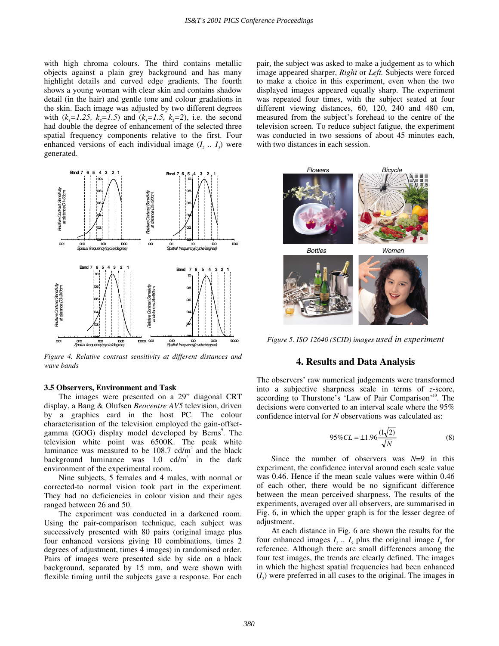with high chroma colours. The third contains metallic objects against a plain grey background and has many highlight details and curved edge gradients. The fourth shows a young woman with clear skin and contains shadow detail (in the hair) and gentle tone and colour gradations in the skin. Each image was adjusted by two different degrees with  $(k_1=1.25, k_2=1.5)$  and  $(k_1=1.5, k_2=2)$ , i.e. the second had double the degree of enhancement of the selected three spatial frequency components relative to the first. Four enhanced versions of each individual image  $(I_2 \ldots I_5)$  were generated.



*Figure 4. Relative contrast sensitivity at different distances and wave bands*

## **3.5 Observers, Environment and Task**

The images were presented on a 29" diagonal CRT display, a Bang & Olufsen *Beocentre AV5* television, driven by a graphics card in the host PC. The colour characterisation of the television employed the gain-offsetgamma (GOG) display model developed by Berns<sup>9</sup>. The television white point was 6500K. The peak white luminance was measured to be  $108.7$  cd/m<sup>2</sup> and the black background luminance was  $1.0 \text{ cd/m}^2$  in the dark environment of the experimental room.

Nine subjects, 5 females and 4 males, with normal or corrected-to normal vision took part in the experiment. They had no deficiencies in colour vision and their ages ranged between 26 and 50.

The experiment was conducted in a darkened room. Using the pair-comparison technique, each subject was successively presented with 80 pairs (original image plus four enhanced versions giving 10 combinations, times 2 degrees of adjustment, times 4 images) in randomised order. Pairs of images were presented side by side on a black background, separated by 15 mm, and were shown with flexible timing until the subjects gave a response. For each pair, the subject was asked to make a judgement as to which image appeared sharper, *Right* or *Left.* Subjects were forced to make a choice in this experiment, even when the two displayed images appeared equally sharp. The experiment was repeated four times, with the subject seated at four different viewing distances, 60, 120, 240 and 480 cm, measured from the subject's forehead to the centre of the television screen. To reduce subject fatigue, the experiment was conducted in two sessions of about 45 minutes each, with two distances in each session.



*Figure 5. ISO 12640 (SCID) images used in experiment*

#### **4. Results and Data Analysis**

The observers' raw numerical judgements were transformed into a subjective sharpness scale in terms of *z*-score, according to Thurstone's 'Law of Pair Comparison'<sup>10</sup>. The decisions were converted to an interval scale where the 95% confidence interval for *N* observations was calculated as:

$$
95\% CL = \pm 1.96 \frac{(1\sqrt{2})}{\sqrt{N}}
$$
 (8)

Since the number of observers was *N*=9 in this experiment, the confidence interval around each scale value was 0.46. Hence if the mean scale values were within 0.46 of each other, there would be no significant difference between the mean perceived sharpness. The results of the experiments, averaged over all observers, are summarised in Fig. 6, in which the upper graph is for the lesser degree of adjustment.

At each distance in Fig. 6 are shown the results for the four enhanced images  $I_1$ ...  $I_5$  plus the original image  $I_0$  for reference. Although there are small differences among the four test images, the trends are clearly defined. The images in which the highest spatial frequencies had been enhanced  $(I_2)$  were preferred in all cases to the original. The images in